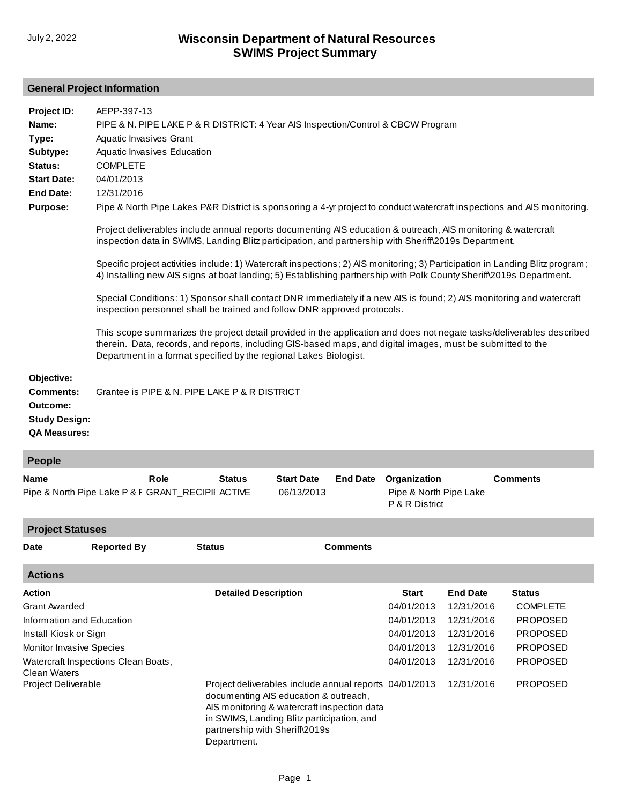## **General Project Information**

| Project ID:<br>Name:<br>Type:<br>Subtype:<br>Status:<br><b>Start Date:</b><br><b>End Date:</b><br><b>Purpose:</b><br>Objective: | AEPP-397-13<br>PIPE & N. PIPE LAKE P & R DISTRICT: 4 Year AIS Inspection/Control & CBCW Program<br>Aquatic Invasives Grant<br>Aquatic Invasives Education<br><b>COMPLETE</b><br>04/01/2013<br>12/31/2016<br>Pipe & North Pipe Lakes P&R District is sponsoring a 4-yr project to conduct watercraft inspections and AIS monitoring.<br>Project deliverables include annual reports documenting AIS education & outreach, AIS monitoring & watercraft<br>inspection data in SWIMS, Landing Blitz participation, and partnership with Sheriff\2019s Department.<br>Specific project activities include: 1) Watercraft inspections; 2) AIS monitoring; 3) Participation in Landing Blitz program;<br>4) Installing new AIS signs at boat landing; 5) Establishing partnership with Polk County Sheriff\2019s Department.<br>Special Conditions: 1) Sponsor shall contact DNR immediately if a new AIS is found; 2) AIS monitoring and watercraft<br>inspection personnel shall be trained and follow DNR approved protocols.<br>This scope summarizes the project detail provided in the application and does not negate tasks/deliverables described<br>therein. Data, records, and reports, including GIS-based maps, and digital images, must be submitted to the<br>Department in a format specified by the regional Lakes Biologist. |               |                   |                 |                                          |                 |  |  |
|---------------------------------------------------------------------------------------------------------------------------------|----------------------------------------------------------------------------------------------------------------------------------------------------------------------------------------------------------------------------------------------------------------------------------------------------------------------------------------------------------------------------------------------------------------------------------------------------------------------------------------------------------------------------------------------------------------------------------------------------------------------------------------------------------------------------------------------------------------------------------------------------------------------------------------------------------------------------------------------------------------------------------------------------------------------------------------------------------------------------------------------------------------------------------------------------------------------------------------------------------------------------------------------------------------------------------------------------------------------------------------------------------------------------------------------------------------------------------------|---------------|-------------------|-----------------|------------------------------------------|-----------------|--|--|
| <b>Comments:</b><br>Outcome:<br><b>Study Design:</b><br><b>QA Measures:</b>                                                     | Grantee is PIPE & N. PIPE LAKE P & R DISTRICT                                                                                                                                                                                                                                                                                                                                                                                                                                                                                                                                                                                                                                                                                                                                                                                                                                                                                                                                                                                                                                                                                                                                                                                                                                                                                          |               |                   |                 |                                          |                 |  |  |
| People                                                                                                                          |                                                                                                                                                                                                                                                                                                                                                                                                                                                                                                                                                                                                                                                                                                                                                                                                                                                                                                                                                                                                                                                                                                                                                                                                                                                                                                                                        |               |                   |                 |                                          |                 |  |  |
| Name                                                                                                                            | Role                                                                                                                                                                                                                                                                                                                                                                                                                                                                                                                                                                                                                                                                                                                                                                                                                                                                                                                                                                                                                                                                                                                                                                                                                                                                                                                                   | <b>Status</b> | <b>Start Date</b> | <b>End Date</b> | Organization                             | <b>Comments</b> |  |  |
|                                                                                                                                 | Pipe & North Pipe Lake P & F GRANT_RECIPII ACTIVE                                                                                                                                                                                                                                                                                                                                                                                                                                                                                                                                                                                                                                                                                                                                                                                                                                                                                                                                                                                                                                                                                                                                                                                                                                                                                      |               | 06/13/2013        |                 | Pipe & North Pipe Lake<br>P & R District |                 |  |  |

| <b>Project Statuses</b>   |                                     |                                               |                                                                                                                                                                                              |              |                 |                 |  |  |
|---------------------------|-------------------------------------|-----------------------------------------------|----------------------------------------------------------------------------------------------------------------------------------------------------------------------------------------------|--------------|-----------------|-----------------|--|--|
| <b>Date</b>               | <b>Reported By</b>                  | <b>Status</b>                                 | <b>Comments</b>                                                                                                                                                                              |              |                 |                 |  |  |
| <b>Actions</b>            |                                     |                                               |                                                                                                                                                                                              |              |                 |                 |  |  |
| Action                    |                                     | <b>Detailed Description</b>                   |                                                                                                                                                                                              | <b>Start</b> | <b>End Date</b> | <b>Status</b>   |  |  |
| <b>Grant Awarded</b>      |                                     |                                               |                                                                                                                                                                                              | 04/01/2013   | 12/31/2016      | <b>COMPLETE</b> |  |  |
| Information and Education |                                     |                                               |                                                                                                                                                                                              | 04/01/2013   | 12/31/2016      | <b>PROPOSED</b> |  |  |
| Install Kiosk or Sign     |                                     |                                               |                                                                                                                                                                                              | 04/01/2013   | 12/31/2016      | <b>PROPOSED</b> |  |  |
| Monitor Invasive Species  |                                     |                                               |                                                                                                                                                                                              | 04/01/2013   | 12/31/2016      | <b>PROPOSED</b> |  |  |
| Clean Waters              | Watercraft Inspections Clean Boats, |                                               |                                                                                                                                                                                              | 04/01/2013   | 12/31/2016      | <b>PROPOSED</b> |  |  |
| Project Deliverable       |                                     | partnership with Sheriff\2019s<br>Department. | Project deliverables include annual reports 04/01/2013<br>documenting AIS education & outreach,<br>AIS monitoring & watercraft inspection data<br>in SWIMS, Landing Blitz participation, and |              | 12/31/2016      | <b>PROPOSED</b> |  |  |